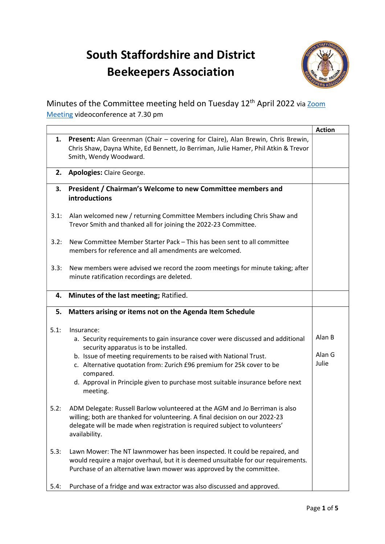## South Staffordshire and District Beekeepers Association



Minutes of the Committee meeting held on Tuesday 12<sup>th</sup> April 2022 via Zoom Meeting videoconference at 7.30 pm

|      |                                                                                                                                                                                                                                                                                                                                                                                                  | <b>Action</b>             |
|------|--------------------------------------------------------------------------------------------------------------------------------------------------------------------------------------------------------------------------------------------------------------------------------------------------------------------------------------------------------------------------------------------------|---------------------------|
| 1.   | Present: Alan Greenman (Chair - covering for Claire), Alan Brewin, Chris Brewin,<br>Chris Shaw, Dayna White, Ed Bennett, Jo Berriman, Julie Hamer, Phil Atkin & Trevor<br>Smith, Wendy Woodward.                                                                                                                                                                                                 |                           |
|      | 2. Apologies: Claire George.                                                                                                                                                                                                                                                                                                                                                                     |                           |
|      | 3. President / Chairman's Welcome to new Committee members and<br>introductions                                                                                                                                                                                                                                                                                                                  |                           |
| 3.1: | Alan welcomed new / returning Committee Members including Chris Shaw and<br>Trevor Smith and thanked all for joining the 2022-23 Committee.                                                                                                                                                                                                                                                      |                           |
| 3.2: | New Committee Member Starter Pack - This has been sent to all committee<br>members for reference and all amendments are welcomed.                                                                                                                                                                                                                                                                |                           |
| 3.3: | New members were advised we record the zoom meetings for minute taking; after<br>minute ratification recordings are deleted.                                                                                                                                                                                                                                                                     |                           |
|      | 4. Minutes of the last meeting; Ratified.                                                                                                                                                                                                                                                                                                                                                        |                           |
| 5.   | Matters arising or items not on the Agenda Item Schedule                                                                                                                                                                                                                                                                                                                                         |                           |
| 5.1: | Insurance:<br>a. Security requirements to gain insurance cover were discussed and additional<br>security apparatus is to be installed.<br>b. Issue of meeting requirements to be raised with National Trust.<br>c. Alternative quotation from: Zurich £96 premium for 25k cover to be<br>compared.<br>d. Approval in Principle given to purchase most suitable insurance before next<br>meeting. | Alan B<br>Alan G<br>Julie |
| 5.2: | ADM Delegate: Russell Barlow volunteered at the AGM and Jo Berriman is also<br>willing; both are thanked for volunteering. A final decision on our 2022-23<br>delegate will be made when registration is required subject to volunteers'<br>availability.                                                                                                                                        |                           |
| 5.3: | Lawn Mower: The NT lawnmower has been inspected. It could be repaired, and<br>would require a major overhaul, but it is deemed unsuitable for our requirements.<br>Purchase of an alternative lawn mower was approved by the committee.                                                                                                                                                          |                           |
| 5.4: | Purchase of a fridge and wax extractor was also discussed and approved.                                                                                                                                                                                                                                                                                                                          |                           |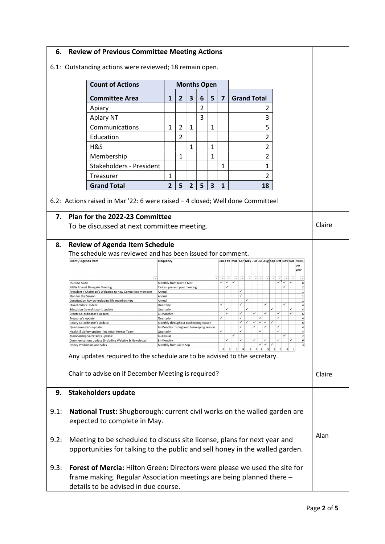| 6.                                                                                 |                                                                                                                                                                                 | <b>Review of Previous Committee Meeting Actions</b>                                  |                                                                                 |   |                |                |                          |                                                          |                                                                                                                                                                                                                                                                                   |        |
|------------------------------------------------------------------------------------|---------------------------------------------------------------------------------------------------------------------------------------------------------------------------------|--------------------------------------------------------------------------------------|---------------------------------------------------------------------------------|---|----------------|----------------|--------------------------|----------------------------------------------------------|-----------------------------------------------------------------------------------------------------------------------------------------------------------------------------------------------------------------------------------------------------------------------------------|--------|
|                                                                                    | 6.1: Outstanding actions were reviewed; 18 remain open.                                                                                                                         |                                                                                      |                                                                                 |   |                |                |                          |                                                          |                                                                                                                                                                                                                                                                                   |        |
|                                                                                    |                                                                                                                                                                                 | <b>Count of Actions</b>                                                              | <b>Months Open</b>                                                              |   |                |                |                          |                                                          |                                                                                                                                                                                                                                                                                   |        |
|                                                                                    |                                                                                                                                                                                 | <b>Committee Area</b>                                                                | 1                                                                               | 2 | 3              | 6              | 5                        | 7                                                        | <b>Grand Total</b>                                                                                                                                                                                                                                                                |        |
|                                                                                    |                                                                                                                                                                                 | Apiary                                                                               |                                                                                 |   |                | $\overline{2}$ |                          |                                                          | 2                                                                                                                                                                                                                                                                                 |        |
|                                                                                    |                                                                                                                                                                                 | Apiary NT                                                                            |                                                                                 |   |                | 3              |                          |                                                          | 3                                                                                                                                                                                                                                                                                 |        |
|                                                                                    |                                                                                                                                                                                 | Communications                                                                       | 1                                                                               | 2 | 1              |                | 1                        |                                                          | 5                                                                                                                                                                                                                                                                                 |        |
|                                                                                    |                                                                                                                                                                                 | Education                                                                            |                                                                                 | 2 |                |                |                          |                                                          | 2                                                                                                                                                                                                                                                                                 |        |
|                                                                                    |                                                                                                                                                                                 | H&S                                                                                  |                                                                                 |   | 1              |                | 1                        |                                                          | 2                                                                                                                                                                                                                                                                                 |        |
|                                                                                    |                                                                                                                                                                                 | Membership                                                                           |                                                                                 | 1 |                |                | 1                        |                                                          | 2                                                                                                                                                                                                                                                                                 |        |
|                                                                                    |                                                                                                                                                                                 | <b>Stakeholders - President</b>                                                      |                                                                                 |   |                |                |                          | 1                                                        | 1                                                                                                                                                                                                                                                                                 |        |
|                                                                                    |                                                                                                                                                                                 | Treasurer                                                                            | 1                                                                               |   |                |                |                          |                                                          | 2                                                                                                                                                                                                                                                                                 |        |
|                                                                                    |                                                                                                                                                                                 | <b>Grand Total</b>                                                                   | $\overline{2}$                                                                  | 5 | $\overline{2}$ | 5              | 3                        | 1                                                        | 18                                                                                                                                                                                                                                                                                |        |
|                                                                                    |                                                                                                                                                                                 |                                                                                      |                                                                                 |   |                |                |                          |                                                          |                                                                                                                                                                                                                                                                                   |        |
|                                                                                    |                                                                                                                                                                                 | 6.2: Actions raised in Mar '22: 6 were raised - 4 closed; Well done Committee!       |                                                                                 |   |                |                |                          |                                                          |                                                                                                                                                                                                                                                                                   |        |
| 7.                                                                                 |                                                                                                                                                                                 | Plan for the 2022-23 Committee                                                       |                                                                                 |   |                |                |                          |                                                          |                                                                                                                                                                                                                                                                                   |        |
|                                                                                    |                                                                                                                                                                                 | To be discussed at next committee meeting.                                           |                                                                                 |   |                |                |                          |                                                          |                                                                                                                                                                                                                                                                                   | Claire |
| 8.                                                                                 |                                                                                                                                                                                 | <b>Review of Agenda Item Schedule</b>                                                |                                                                                 |   |                |                |                          |                                                          |                                                                                                                                                                                                                                                                                   |        |
|                                                                                    |                                                                                                                                                                                 | The schedule was reviewed and has been issued for comment.                           |                                                                                 |   |                |                |                          |                                                          |                                                                                                                                                                                                                                                                                   |        |
|                                                                                    | Event / Agenda Item                                                                                                                                                             |                                                                                      | <b>Frequency</b>                                                                |   |                |                |                          |                                                          | Jan Feb Mar Apr May Jun Jul Aug Sep Oct Nov Dec Items<br>per                                                                                                                                                                                                                      |        |
|                                                                                    |                                                                                                                                                                                 |                                                                                      |                                                                                 |   |                |                |                          |                                                          | year                                                                                                                                                                                                                                                                              |        |
|                                                                                    | <b>SSDBKA AGM</b>                                                                                                                                                               |                                                                                      | Monthly from Nov to Mar                                                         |   |                |                | $\overline{\phantom{0}}$ | $\overline{\phantom{a}}$<br>$\checkmark$<br>$\checkmark$ | $\mathbf{\mathbf{v}}$<br>$\star$<br>$\star$<br>$\mathbf{v}$<br>$\left\vert \mathbf{v}\right\vert$ $\left\vert \mathbf{v}\right\vert$<br>$\overline{\phantom{a}}$<br>$\overline{\phantom{a}}$<br>$\mathbf{v}$<br>$\checkmark$<br>$\checkmark$<br>$\checkmark$<br>$\checkmark$<br>6 |        |
|                                                                                    | $\checkmark$<br><b>BBKA Annual Delegate Meeting</b><br>Twice - pre and post meeting<br>$\overline{2}$<br>✓<br>President / Chairman's Welcome to new Committee members<br>Annual |                                                                                      |                                                                                 |   |                |                |                          |                                                          |                                                                                                                                                                                                                                                                                   |        |
|                                                                                    | Plan for the Season                                                                                                                                                             | Constitution Review including life memberships                                       | Annual<br>Annual                                                                |   |                |                |                          |                                                          | $\checkmark$<br>$\checkmark$                                                                                                                                                                                                                                                      |        |
|                                                                                    | <b>Stakeholders Update</b>                                                                                                                                                      | Education Co-ordinator's update                                                      | Quarterly<br>Quarterly                                                          |   |                |                |                          | ✓<br>✓                                                   | ✓<br>$\checkmark$<br>✓<br>$\checkmark$<br>$\checkmark$<br>$\checkmark$<br>$\overline{4}$                                                                                                                                                                                          |        |
|                                                                                    | Treasurer's update                                                                                                                                                              | Events Co-ordinator's update:                                                        | <b>Bi-Monthly</b><br>Quarterly                                                  |   |                |                |                          | $\checkmark$                                             | ✓<br>$\checkmark$<br>$\checkmark$<br>$\checkmark$<br>$\checkmark$<br>$\checkmark$<br>$6 \mid$<br>$\checkmark$<br>✓<br>$\vert$                                                                                                                                                     |        |
|                                                                                    | Quartermaster's update:                                                                                                                                                         | Apiary Co-ordinator's update:                                                        | Monthly throughout Beekeeping season<br>Bi-Monthly throughout Beekeeping season |   |                |                |                          |                                                          | $\checkmark$<br>✓<br>$\checkmark$<br>$\checkmark$<br>$\checkmark$<br>$\checkmark$<br>6<br>✓<br>$\checkmark$<br>$\checkmark$<br>$\checkmark$<br>$\overline{4}$                                                                                                                     |        |
|                                                                                    |                                                                                                                                                                                 | Health & Safety update (inc Asian Hornet Team)<br>Membership Secretary's update:     | Quarterly<br><b>Bi-Annual</b>                                                   |   |                |                |                          | ✓                                                        | $\checkmark$<br>$\checkmark$<br>$\checkmark$<br>$\Delta$                                                                                                                                                                                                                          |        |
|                                                                                    |                                                                                                                                                                                 | Communications update (including Website & Newsletter)<br>Honey Production and Sales | <b>Bi-Monthly</b><br>Monthly from Jul to Sep                                    |   |                |                |                          |                                                          | ✓                                                                                                                                                                                                                                                                                 |        |
|                                                                                    |                                                                                                                                                                                 | Any updates required to the schedule are to be advised to the secretary.             |                                                                                 |   |                |                |                          |                                                          | $4 \overline{3}$<br>5 <sup>1</sup><br>2<br>5 <sub>l</sub><br>2<br>9<br>3 <sup>1</sup><br>$6 \vert$                                                                                                                                                                                |        |
|                                                                                    |                                                                                                                                                                                 |                                                                                      |                                                                                 |   |                |                |                          |                                                          |                                                                                                                                                                                                                                                                                   |        |
|                                                                                    |                                                                                                                                                                                 | Chair to advise on if December Meeting is required?                                  |                                                                                 |   |                |                |                          |                                                          |                                                                                                                                                                                                                                                                                   | Claire |
| 9.                                                                                 |                                                                                                                                                                                 | <b>Stakeholders update</b>                                                           |                                                                                 |   |                |                |                          |                                                          |                                                                                                                                                                                                                                                                                   |        |
|                                                                                    |                                                                                                                                                                                 |                                                                                      |                                                                                 |   |                |                |                          |                                                          |                                                                                                                                                                                                                                                                                   |        |
| 9.1:                                                                               |                                                                                                                                                                                 |                                                                                      |                                                                                 |   |                |                |                          |                                                          | National Trust: Shugborough: current civil works on the walled garden are                                                                                                                                                                                                         |        |
|                                                                                    |                                                                                                                                                                                 | expected to complete in May.                                                         |                                                                                 |   |                |                |                          |                                                          |                                                                                                                                                                                                                                                                                   |        |
| 9.2:                                                                               |                                                                                                                                                                                 | Meeting to be scheduled to discuss site license, plans for next year and             |                                                                                 |   |                |                |                          |                                                          |                                                                                                                                                                                                                                                                                   | Alan   |
|                                                                                    |                                                                                                                                                                                 |                                                                                      |                                                                                 |   |                |                |                          |                                                          | opportunities for talking to the public and sell honey in the walled garden.                                                                                                                                                                                                      |        |
|                                                                                    |                                                                                                                                                                                 |                                                                                      |                                                                                 |   |                |                |                          |                                                          |                                                                                                                                                                                                                                                                                   |        |
| 9.3:<br>Forest of Mercia: Hilton Green: Directors were please we used the site for |                                                                                                                                                                                 |                                                                                      |                                                                                 |   |                |                |                          |                                                          |                                                                                                                                                                                                                                                                                   |        |
| frame making. Regular Association meetings are being planned there -               |                                                                                                                                                                                 |                                                                                      |                                                                                 |   |                |                |                          |                                                          |                                                                                                                                                                                                                                                                                   |        |
|                                                                                    | details to be advised in due course.                                                                                                                                            |                                                                                      |                                                                                 |   |                |                |                          |                                                          |                                                                                                                                                                                                                                                                                   |        |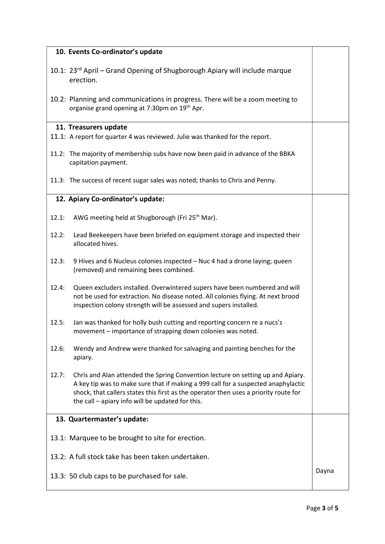| 10. Events Co-ordinator's update                                                                                                                                                                                                                                                                                          |  |  |  |  |
|---------------------------------------------------------------------------------------------------------------------------------------------------------------------------------------------------------------------------------------------------------------------------------------------------------------------------|--|--|--|--|
| 10.1: 23 <sup>rd</sup> April – Grand Opening of Shugborough Apiary will include marque<br>erection.                                                                                                                                                                                                                       |  |  |  |  |
| 10.2: Planning and communications in progress. There will be a zoom meeting to<br>organise grand opening at 7:30pm on 19th Apr.                                                                                                                                                                                           |  |  |  |  |
| 11. Treasurers update                                                                                                                                                                                                                                                                                                     |  |  |  |  |
| 11.1: A report for quarter 4 was reviewed. Julie was thanked for the report.                                                                                                                                                                                                                                              |  |  |  |  |
| 11.2: The majority of membership subs have now been paid in advance of the BBKA<br>capitation payment.                                                                                                                                                                                                                    |  |  |  |  |
| 11.3: The success of recent sugar sales was noted; thanks to Chris and Penny.                                                                                                                                                                                                                                             |  |  |  |  |
| 12. Apiary Co-ordinator's update:                                                                                                                                                                                                                                                                                         |  |  |  |  |
| AWG meeting held at Shugborough (Fri 25 <sup>th</sup> Mar).<br>12.1:                                                                                                                                                                                                                                                      |  |  |  |  |
| Lead Beekeepers have been briefed on equipment storage and inspected their<br>12.2:<br>allocated hives.                                                                                                                                                                                                                   |  |  |  |  |
| 12.3:<br>9 Hives and 6 Nucleus colonies inspected - Nuc 4 had a drone laying; queen<br>(removed) and remaining bees combined.                                                                                                                                                                                             |  |  |  |  |
| Queen excluders installed. Overwintered supers have been numbered and will<br>12.4:<br>not be used for extraction. No disease noted. All colonies flying. At next brood<br>inspection colony strength will be assessed and supers installed.                                                                              |  |  |  |  |
| Jan was thanked for holly bush cutting and reporting concern re a nucs's<br>12.5:<br>movement - importance of strapping down colonies was noted.                                                                                                                                                                          |  |  |  |  |
| Wendy and Andrew were thanked for salvaging and painting benches for the<br>12.6:<br>apiary.                                                                                                                                                                                                                              |  |  |  |  |
| 12.7:<br>Chris and Alan attended the Spring Convention lecture on setting up and Apiary.<br>A key tip was to make sure that if making a 999 call for a suspected anaphylactic<br>shock, that callers states this first as the operator then uses a priority route for<br>the call - apiary info will be updated for this. |  |  |  |  |
| 13. Quartermaster's update:                                                                                                                                                                                                                                                                                               |  |  |  |  |
| 13.1: Marquee to be brought to site for erection.                                                                                                                                                                                                                                                                         |  |  |  |  |
| 13.2: A full stock take has been taken undertaken.                                                                                                                                                                                                                                                                        |  |  |  |  |
| 13.3: 50 club caps to be purchased for sale.                                                                                                                                                                                                                                                                              |  |  |  |  |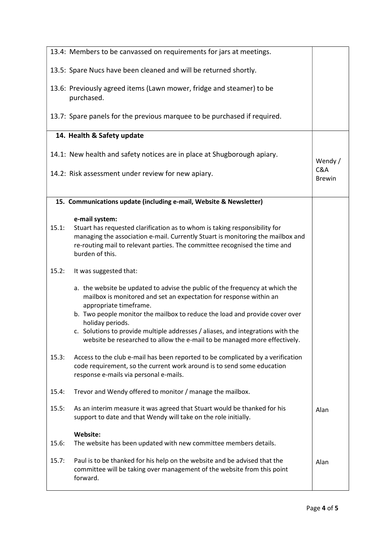|       | 13.4: Members to be canvassed on requirements for jars at meetings.                                                                                                                                                                                                                                                                                                                                                                             |                      |
|-------|-------------------------------------------------------------------------------------------------------------------------------------------------------------------------------------------------------------------------------------------------------------------------------------------------------------------------------------------------------------------------------------------------------------------------------------------------|----------------------|
|       | 13.5: Spare Nucs have been cleaned and will be returned shortly.                                                                                                                                                                                                                                                                                                                                                                                |                      |
|       | 13.6: Previously agreed items (Lawn mower, fridge and steamer) to be<br>purchased.                                                                                                                                                                                                                                                                                                                                                              |                      |
|       | 13.7: Spare panels for the previous marquee to be purchased if required.                                                                                                                                                                                                                                                                                                                                                                        |                      |
|       | 14. Health & Safety update                                                                                                                                                                                                                                                                                                                                                                                                                      |                      |
|       | 14.1: New health and safety notices are in place at Shugborough apiary.                                                                                                                                                                                                                                                                                                                                                                         | Wendy /              |
|       | 14.2: Risk assessment under review for new apiary.                                                                                                                                                                                                                                                                                                                                                                                              | C&A<br><b>Brewin</b> |
|       | 15. Communications update (including e-mail, Website & Newsletter)                                                                                                                                                                                                                                                                                                                                                                              |                      |
| 15.1: | e-mail system:<br>Stuart has requested clarification as to whom is taking responsibility for<br>managing the association e-mail. Currently Stuart is monitoring the mailbox and<br>re-routing mail to relevant parties. The committee recognised the time and<br>burden of this.                                                                                                                                                                |                      |
| 15.2: | It was suggested that:                                                                                                                                                                                                                                                                                                                                                                                                                          |                      |
|       | a. the website be updated to advise the public of the frequency at which the<br>mailbox is monitored and set an expectation for response within an<br>appropriate timeframe.<br>b. Two people monitor the mailbox to reduce the load and provide cover over<br>holiday periods.<br>c. Solutions to provide multiple addresses / aliases, and integrations with the<br>website be researched to allow the e-mail to be managed more effectively. |                      |
| 15.3: | Access to the club e-mail has been reported to be complicated by a verification<br>code requirement, so the current work around is to send some education<br>response e-mails via personal e-mails.                                                                                                                                                                                                                                             |                      |
| 15.4: | Trevor and Wendy offered to monitor / manage the mailbox.                                                                                                                                                                                                                                                                                                                                                                                       |                      |
| 15.5: | As an interim measure it was agreed that Stuart would be thanked for his<br>support to date and that Wendy will take on the role initially.                                                                                                                                                                                                                                                                                                     | Alan                 |
| 15.6: | Website:<br>The website has been updated with new committee members details.                                                                                                                                                                                                                                                                                                                                                                    |                      |
| 15.7: | Paul is to be thanked for his help on the website and be advised that the<br>committee will be taking over management of the website from this point<br>forward.                                                                                                                                                                                                                                                                                | Alan                 |